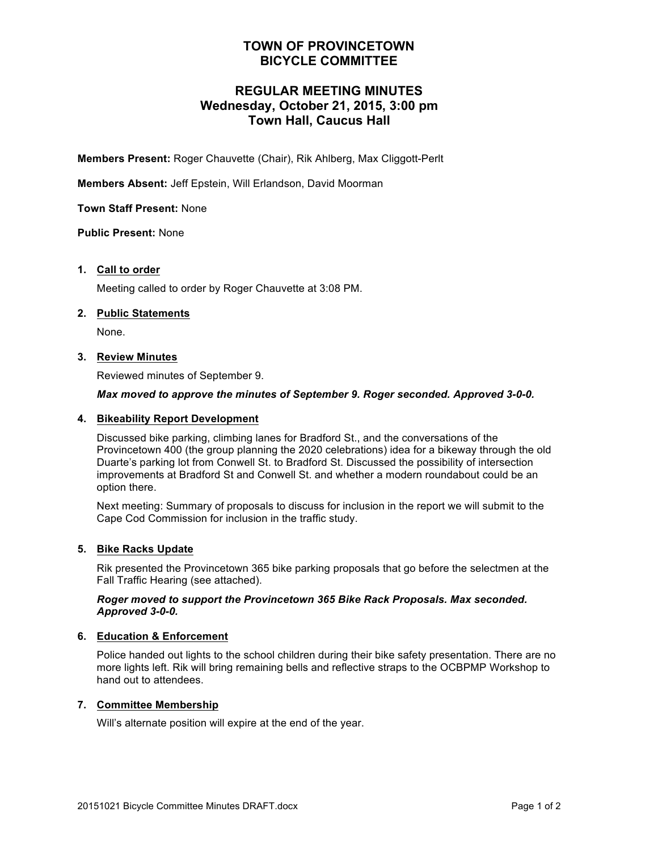### **TOWN OF PROVINCETOWN BICYCLE COMMITTEE**

### **REGULAR MEETING MINUTES Wednesday, October 21, 2015, 3:00 pm Town Hall, Caucus Hall**

**Members Present:** Roger Chauvette (Chair), Rik Ahlberg, Max Cliggott-Perlt

**Members Absent:** Jeff Epstein, Will Erlandson, David Moorman

**Town Staff Present:** None

**Public Present:** None

### **1. Call to order**

Meeting called to order by Roger Chauvette at 3:08 PM.

### **2. Public Statements**

None.

### **3. Review Minutes**

Reviewed minutes of September 9.

### *Max moved to approve the minutes of September 9. Roger seconded. Approved 3-0-0.*

### **4. Bikeability Report Development**

Discussed bike parking, climbing lanes for Bradford St., and the conversations of the Provincetown 400 (the group planning the 2020 celebrations) idea for a bikeway through the old Duarte's parking lot from Conwell St. to Bradford St. Discussed the possibility of intersection improvements at Bradford St and Conwell St. and whether a modern roundabout could be an option there.

Next meeting: Summary of proposals to discuss for inclusion in the report we will submit to the Cape Cod Commission for inclusion in the traffic study.

### **5. Bike Racks Update**

Rik presented the Provincetown 365 bike parking proposals that go before the selectmen at the Fall Traffic Hearing (see attached).

### *Roger moved to support the Provincetown 365 Bike Rack Proposals. Max seconded. Approved 3-0-0.*

### **6. Education & Enforcement**

Police handed out lights to the school children during their bike safety presentation. There are no more lights left. Rik will bring remaining bells and reflective straps to the OCBPMP Workshop to hand out to attendees.

### **7. Committee Membership**

Will's alternate position will expire at the end of the year.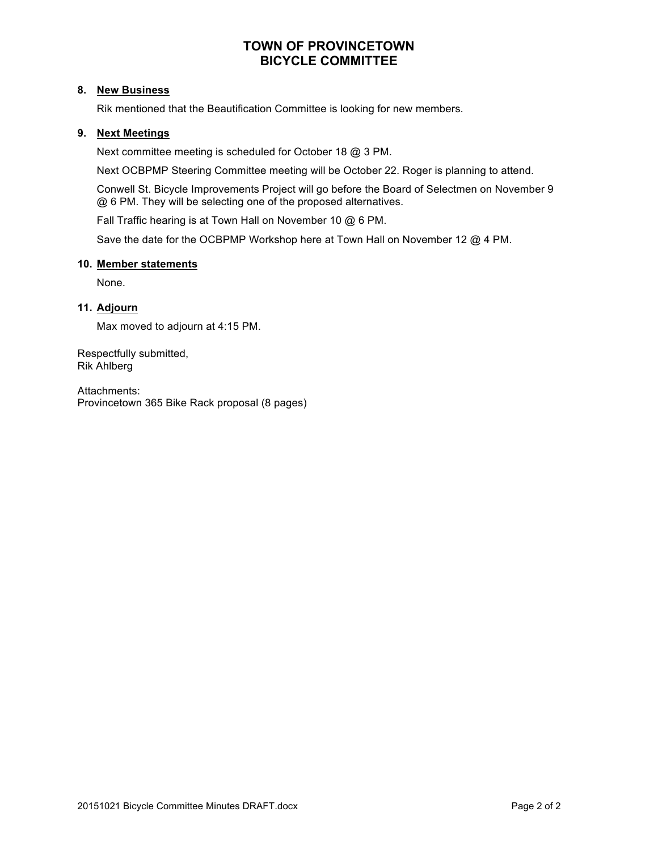### **TOWN OF PROVINCETOWN BICYCLE COMMITTEE**

### **8. New Business**

Rik mentioned that the Beautification Committee is looking for new members.

### **9. Next Meetings**

Next committee meeting is scheduled for October 18 @ 3 PM.

Next OCBPMP Steering Committee meeting will be October 22. Roger is planning to attend.

Conwell St. Bicycle Improvements Project will go before the Board of Selectmen on November 9 @ 6 PM. They will be selecting one of the proposed alternatives.

Fall Traffic hearing is at Town Hall on November 10 @ 6 PM.

Save the date for the OCBPMP Workshop here at Town Hall on November 12 @ 4 PM.

### **10. Member statements**

None.

### **11. Adjourn**

Max moved to adjourn at 4:15 PM.

Respectfully submitted, Rik Ahlberg

Attachments: Provincetown 365 Bike Rack proposal (8 pages)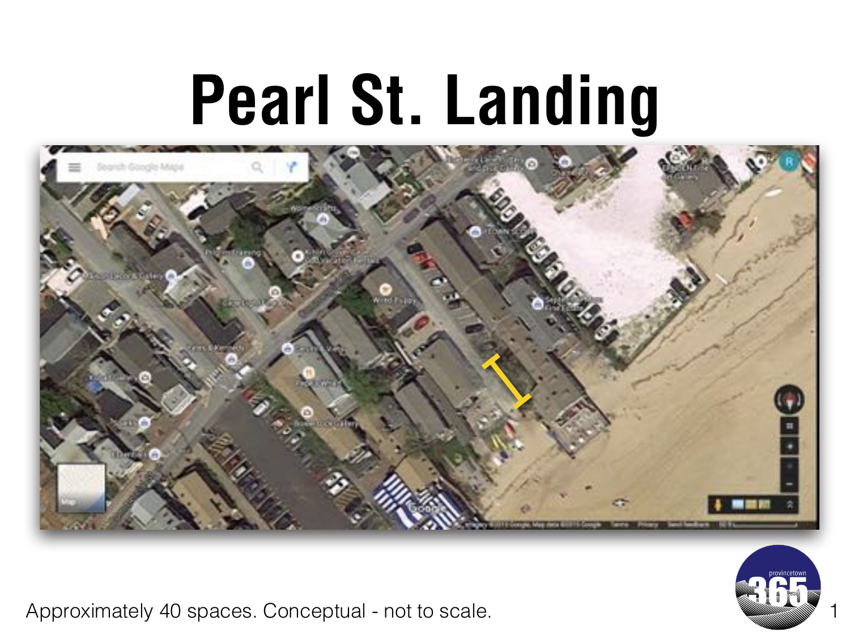### **Pearl St. Landing**





Approximately 40 spaces. Conceptual - not to scale.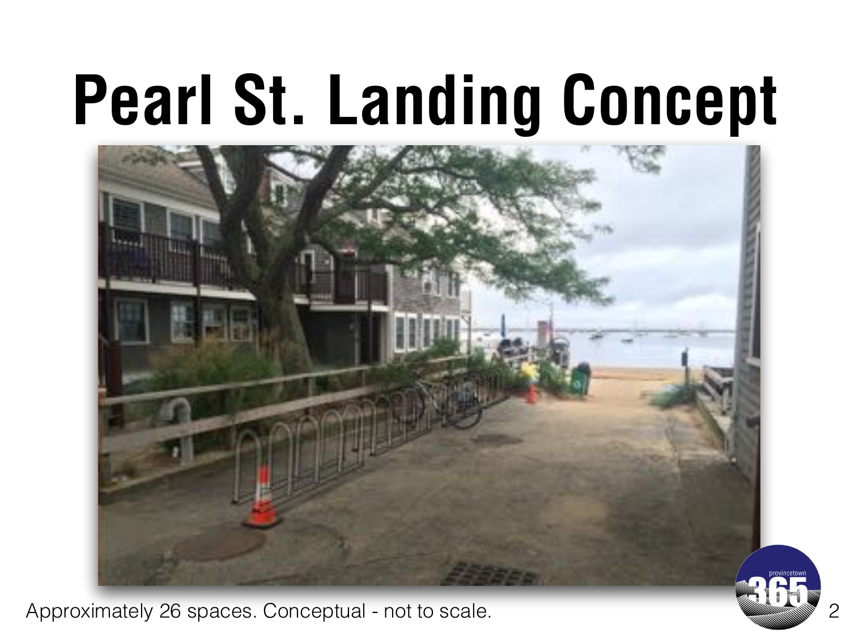# **Pearl St. Landing Concept**



Approximately 26 spaces. Conceptual - not to scale.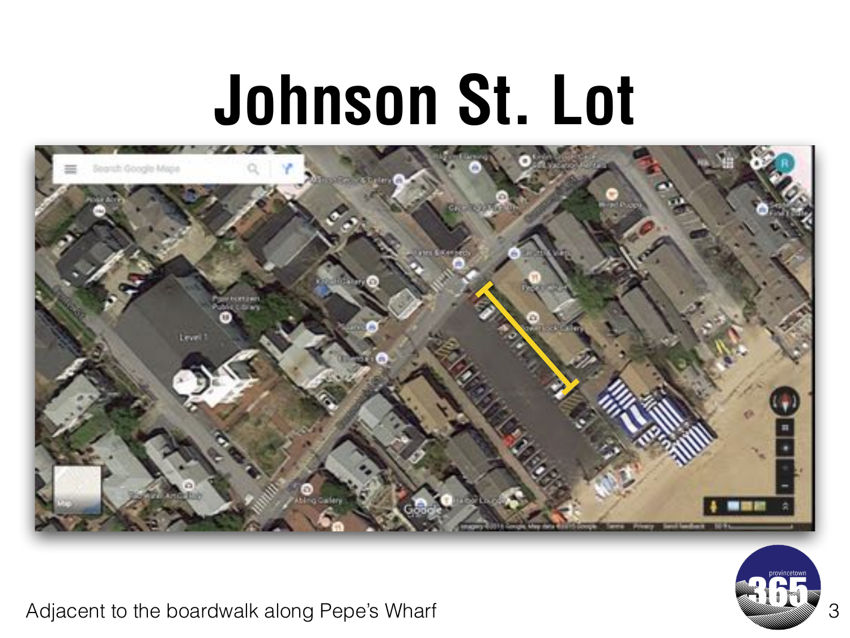### **Johnson St. Lot**





Adjacent to the boardwalk along Pepe's Wharf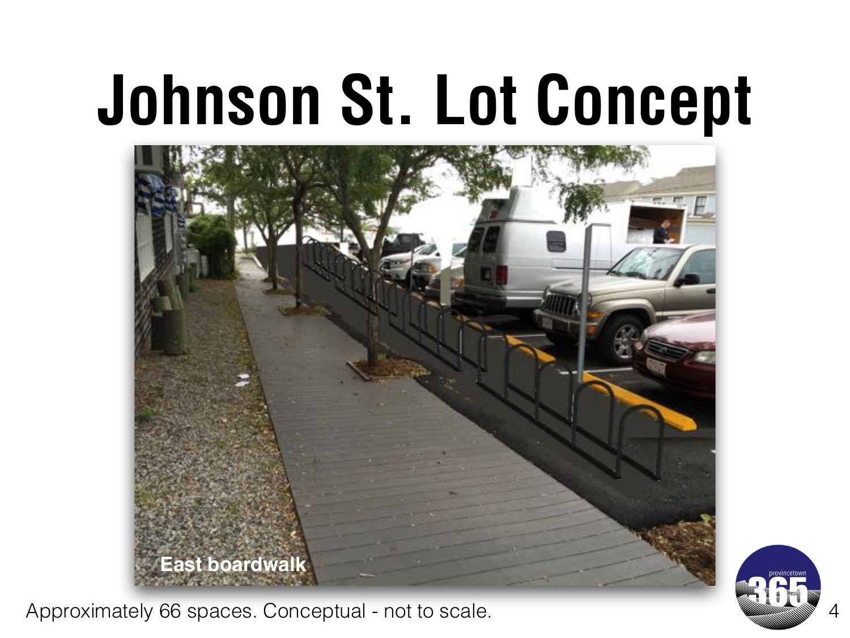## **Johnson St. Lot Concept**



Approximately 66 spaces. Conceptual - not to scale.

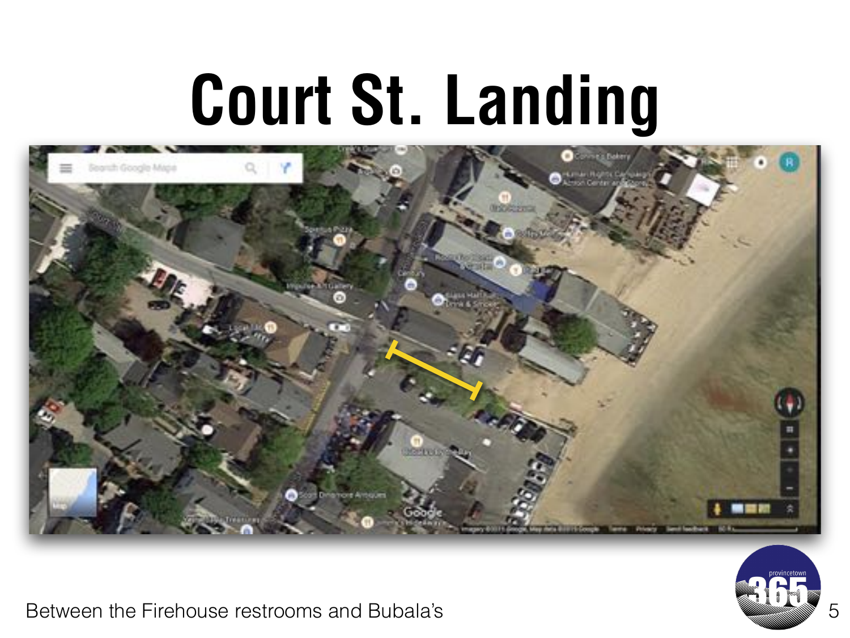## **Court St. Landing**





Between the Firehouse restrooms and Bubala's **5 and 5 and 5 and 5 and 5 and 5 and 5 and 5 and 5 and 5 and 5 and 5 and 5 and 5 and 5 and 5 and 5 and 5 and 5 and 5 and 5 and 5 and 5 and 5 and 5 and 5 and 5 and 5 and 5 and 5**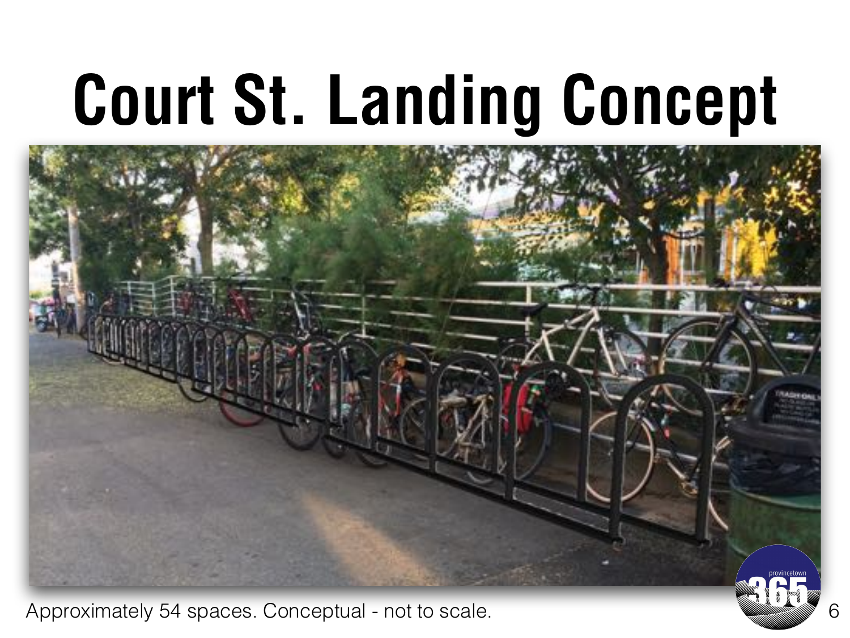# **Court St. Landing Concept**



Approximately 54 spaces. Conceptual - not to scale. **Example 20 and the Conceptual Conceptual** 6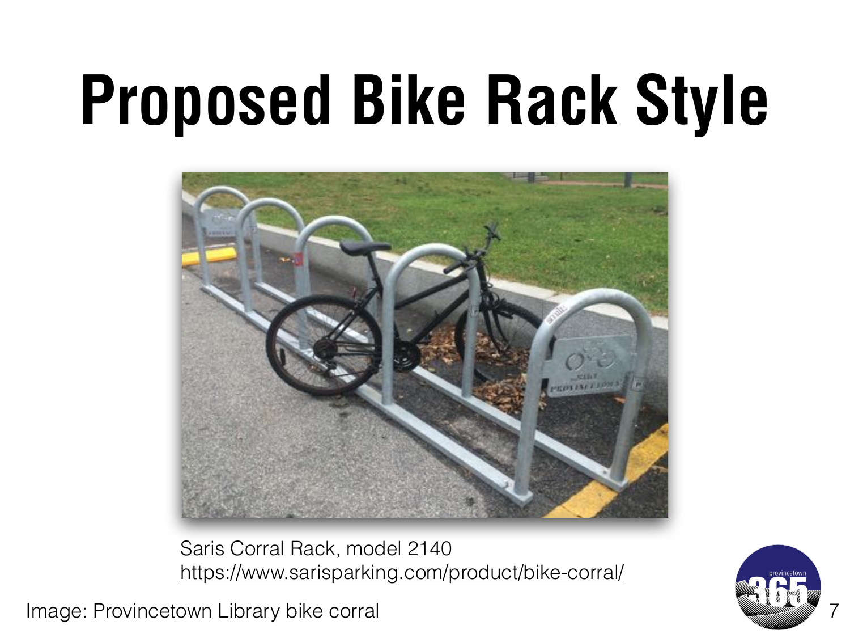# **Proposed Bike Rack Style**



Saris Corral Rack, model 2140 <https://www.sarisparking.com/product/bike-corral/>

Image: Provincetown Library bike corral